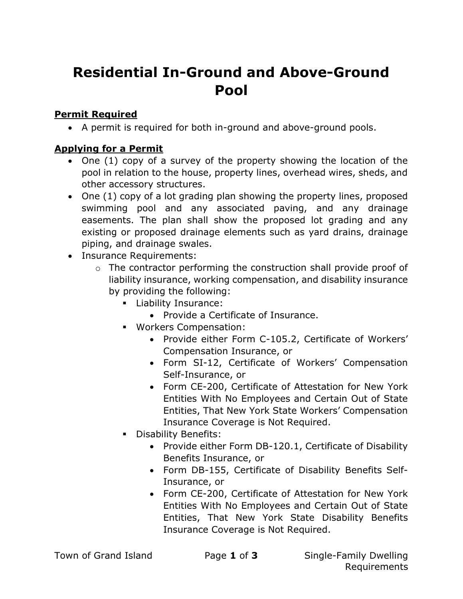# Residential In-Ground and Above-Ground Pool

## Permit Required

A permit is required for both in-ground and above-ground pools.

## Applying for a Permit

- One (1) copy of a survey of the property showing the location of the pool in relation to the house, property lines, overhead wires, sheds, and other accessory structures.
- One (1) copy of a lot grading plan showing the property lines, proposed swimming pool and any associated paving, and any drainage easements. The plan shall show the proposed lot grading and any existing or proposed drainage elements such as yard drains, drainage piping, and drainage swales.
- Insurance Requirements:
	- o The contractor performing the construction shall provide proof of liability insurance, working compensation, and disability insurance by providing the following:
		- **Liability Insurance:** 
			- Provide a Certificate of Insurance.
		- Workers Compensation:
			- Provide either Form C-105.2, Certificate of Workers' Compensation Insurance, or
			- Form SI-12, Certificate of Workers' Compensation Self-Insurance, or
			- Form CE-200, Certificate of Attestation for New York Entities With No Employees and Certain Out of State Entities, That New York State Workers' Compensation Insurance Coverage is Not Required.
		- **Disability Benefits:** 
			- Provide either Form DB-120.1, Certificate of Disability Benefits Insurance, or
			- Form DB-155, Certificate of Disability Benefits Self-Insurance, or
			- Form CE-200, Certificate of Attestation for New York Entities With No Employees and Certain Out of State Entities, That New York State Disability Benefits Insurance Coverage is Not Required.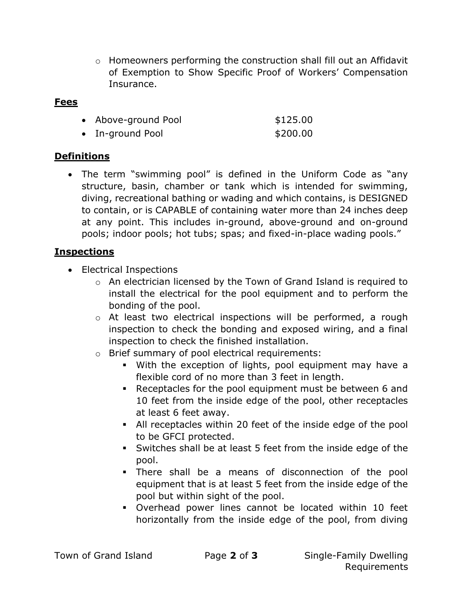$\circ$  Homeowners performing the construction shall fill out an Affidavit of Exemption to Show Specific Proof of Workers' Compensation Insurance.

#### Fees

|  | • Above-ground Pool | \$125.00 |
|--|---------------------|----------|
|--|---------------------|----------|

• In-ground Pool \$200.00

### Definitions

 The term "swimming pool" is defined in the Uniform Code as "any structure, basin, chamber or tank which is intended for swimming, diving, recreational bathing or wading and which contains, is DESIGNED to contain, or is CAPABLE of containing water more than 24 inches deep at any point. This includes in-ground, above-ground and on-ground pools; indoor pools; hot tubs; spas; and fixed-in-place wading pools."

#### **Inspections**

• Electrical Inspections

- o An electrician licensed by the Town of Grand Island is required to install the electrical for the pool equipment and to perform the bonding of the pool.
- o At least two electrical inspections will be performed, a rough inspection to check the bonding and exposed wiring, and a final inspection to check the finished installation.
- o Brief summary of pool electrical requirements:
	- With the exception of lights, pool equipment may have a flexible cord of no more than 3 feet in length.
	- Receptacles for the pool equipment must be between 6 and 10 feet from the inside edge of the pool, other receptacles at least 6 feet away.
	- All receptacles within 20 feet of the inside edge of the pool to be GFCI protected.
	- Switches shall be at least 5 feet from the inside edge of the pool.
	- There shall be a means of disconnection of the pool equipment that is at least 5 feet from the inside edge of the pool but within sight of the pool.
	- Overhead power lines cannot be located within 10 feet horizontally from the inside edge of the pool, from diving